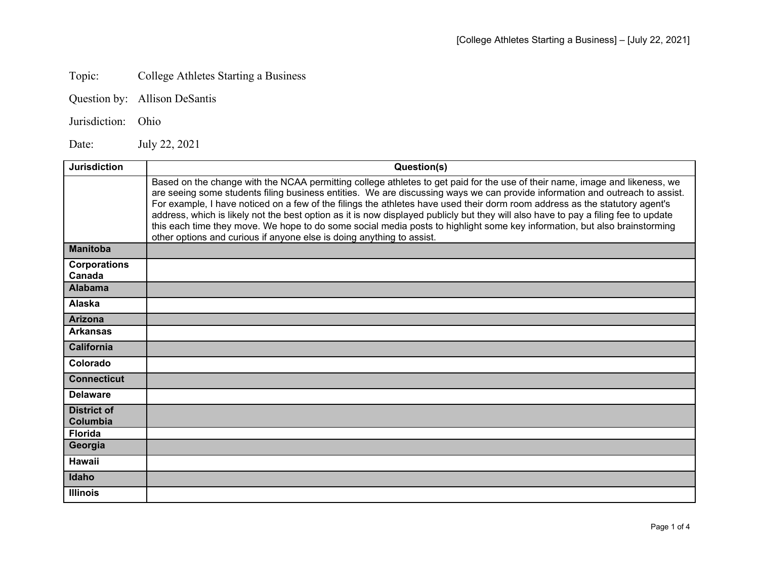## Topic: College Athletes Starting a Business

- Question by: Allison DeSantis
- Jurisdiction: Ohio

Date: July 22, 2021

| <b>Jurisdiction</b>            | Question(s)                                                                                                                                                                                                                                                                                                                                                                                                                                                                                                                                                                                                                                                                                                                            |
|--------------------------------|----------------------------------------------------------------------------------------------------------------------------------------------------------------------------------------------------------------------------------------------------------------------------------------------------------------------------------------------------------------------------------------------------------------------------------------------------------------------------------------------------------------------------------------------------------------------------------------------------------------------------------------------------------------------------------------------------------------------------------------|
|                                | Based on the change with the NCAA permitting college athletes to get paid for the use of their name, image and likeness, we<br>are seeing some students filing business entities. We are discussing ways we can provide information and outreach to assist.<br>For example, I have noticed on a few of the filings the athletes have used their dorm room address as the statutory agent's<br>address, which is likely not the best option as it is now displayed publicly but they will also have to pay a filing fee to update<br>this each time they move. We hope to do some social media posts to highlight some key information, but also brainstorming<br>other options and curious if anyone else is doing anything to assist. |
| <b>Manitoba</b>                |                                                                                                                                                                                                                                                                                                                                                                                                                                                                                                                                                                                                                                                                                                                                        |
| <b>Corporations</b><br>Canada  |                                                                                                                                                                                                                                                                                                                                                                                                                                                                                                                                                                                                                                                                                                                                        |
| <b>Alabama</b>                 |                                                                                                                                                                                                                                                                                                                                                                                                                                                                                                                                                                                                                                                                                                                                        |
| Alaska                         |                                                                                                                                                                                                                                                                                                                                                                                                                                                                                                                                                                                                                                                                                                                                        |
| <b>Arizona</b>                 |                                                                                                                                                                                                                                                                                                                                                                                                                                                                                                                                                                                                                                                                                                                                        |
| <b>Arkansas</b>                |                                                                                                                                                                                                                                                                                                                                                                                                                                                                                                                                                                                                                                                                                                                                        |
| <b>California</b>              |                                                                                                                                                                                                                                                                                                                                                                                                                                                                                                                                                                                                                                                                                                                                        |
| Colorado                       |                                                                                                                                                                                                                                                                                                                                                                                                                                                                                                                                                                                                                                                                                                                                        |
| <b>Connecticut</b>             |                                                                                                                                                                                                                                                                                                                                                                                                                                                                                                                                                                                                                                                                                                                                        |
| <b>Delaware</b>                |                                                                                                                                                                                                                                                                                                                                                                                                                                                                                                                                                                                                                                                                                                                                        |
| <b>District of</b><br>Columbia |                                                                                                                                                                                                                                                                                                                                                                                                                                                                                                                                                                                                                                                                                                                                        |
| <b>Florida</b>                 |                                                                                                                                                                                                                                                                                                                                                                                                                                                                                                                                                                                                                                                                                                                                        |
| Georgia                        |                                                                                                                                                                                                                                                                                                                                                                                                                                                                                                                                                                                                                                                                                                                                        |
| <b>Hawaii</b>                  |                                                                                                                                                                                                                                                                                                                                                                                                                                                                                                                                                                                                                                                                                                                                        |
| Idaho                          |                                                                                                                                                                                                                                                                                                                                                                                                                                                                                                                                                                                                                                                                                                                                        |
| <b>Illinois</b>                |                                                                                                                                                                                                                                                                                                                                                                                                                                                                                                                                                                                                                                                                                                                                        |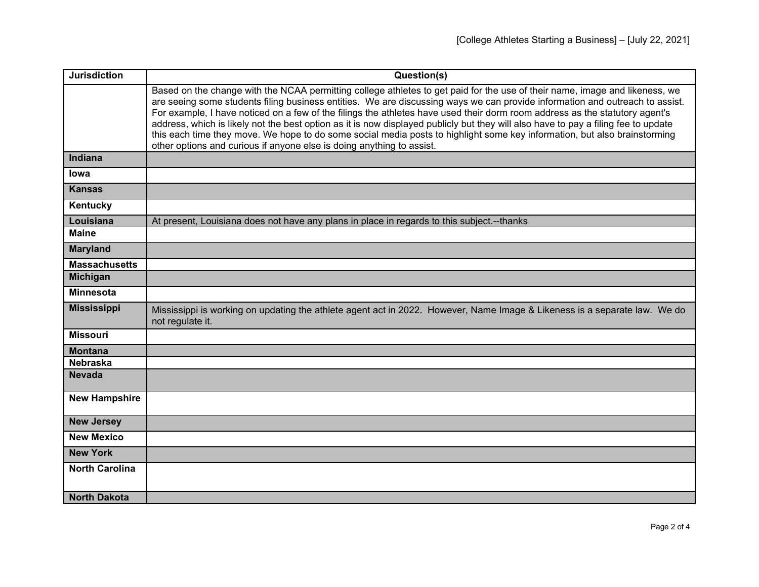| <b>Jurisdiction</b>   | Question(s)                                                                                                                                                                                                                                                                                                                                                                                                                                                                                                                                                                                                                                                                                                                            |
|-----------------------|----------------------------------------------------------------------------------------------------------------------------------------------------------------------------------------------------------------------------------------------------------------------------------------------------------------------------------------------------------------------------------------------------------------------------------------------------------------------------------------------------------------------------------------------------------------------------------------------------------------------------------------------------------------------------------------------------------------------------------------|
|                       | Based on the change with the NCAA permitting college athletes to get paid for the use of their name, image and likeness, we<br>are seeing some students filing business entities. We are discussing ways we can provide information and outreach to assist.<br>For example, I have noticed on a few of the filings the athletes have used their dorm room address as the statutory agent's<br>address, which is likely not the best option as it is now displayed publicly but they will also have to pay a filing fee to update<br>this each time they move. We hope to do some social media posts to highlight some key information, but also brainstorming<br>other options and curious if anyone else is doing anything to assist. |
| Indiana               |                                                                                                                                                                                                                                                                                                                                                                                                                                                                                                                                                                                                                                                                                                                                        |
| lowa                  |                                                                                                                                                                                                                                                                                                                                                                                                                                                                                                                                                                                                                                                                                                                                        |
| <b>Kansas</b>         |                                                                                                                                                                                                                                                                                                                                                                                                                                                                                                                                                                                                                                                                                                                                        |
| Kentucky              |                                                                                                                                                                                                                                                                                                                                                                                                                                                                                                                                                                                                                                                                                                                                        |
| Louisiana             | At present, Louisiana does not have any plans in place in regards to this subject.--thanks                                                                                                                                                                                                                                                                                                                                                                                                                                                                                                                                                                                                                                             |
| <b>Maine</b>          |                                                                                                                                                                                                                                                                                                                                                                                                                                                                                                                                                                                                                                                                                                                                        |
| <b>Maryland</b>       |                                                                                                                                                                                                                                                                                                                                                                                                                                                                                                                                                                                                                                                                                                                                        |
| <b>Massachusetts</b>  |                                                                                                                                                                                                                                                                                                                                                                                                                                                                                                                                                                                                                                                                                                                                        |
| <b>Michigan</b>       |                                                                                                                                                                                                                                                                                                                                                                                                                                                                                                                                                                                                                                                                                                                                        |
| <b>Minnesota</b>      |                                                                                                                                                                                                                                                                                                                                                                                                                                                                                                                                                                                                                                                                                                                                        |
| <b>Mississippi</b>    | Mississippi is working on updating the athlete agent act in 2022. However, Name Image & Likeness is a separate law. We do<br>not regulate it.                                                                                                                                                                                                                                                                                                                                                                                                                                                                                                                                                                                          |
| <b>Missouri</b>       |                                                                                                                                                                                                                                                                                                                                                                                                                                                                                                                                                                                                                                                                                                                                        |
| <b>Montana</b>        |                                                                                                                                                                                                                                                                                                                                                                                                                                                                                                                                                                                                                                                                                                                                        |
| <b>Nebraska</b>       |                                                                                                                                                                                                                                                                                                                                                                                                                                                                                                                                                                                                                                                                                                                                        |
| <b>Nevada</b>         |                                                                                                                                                                                                                                                                                                                                                                                                                                                                                                                                                                                                                                                                                                                                        |
| <b>New Hampshire</b>  |                                                                                                                                                                                                                                                                                                                                                                                                                                                                                                                                                                                                                                                                                                                                        |
| <b>New Jersey</b>     |                                                                                                                                                                                                                                                                                                                                                                                                                                                                                                                                                                                                                                                                                                                                        |
| <b>New Mexico</b>     |                                                                                                                                                                                                                                                                                                                                                                                                                                                                                                                                                                                                                                                                                                                                        |
| <b>New York</b>       |                                                                                                                                                                                                                                                                                                                                                                                                                                                                                                                                                                                                                                                                                                                                        |
| <b>North Carolina</b> |                                                                                                                                                                                                                                                                                                                                                                                                                                                                                                                                                                                                                                                                                                                                        |
| <b>North Dakota</b>   |                                                                                                                                                                                                                                                                                                                                                                                                                                                                                                                                                                                                                                                                                                                                        |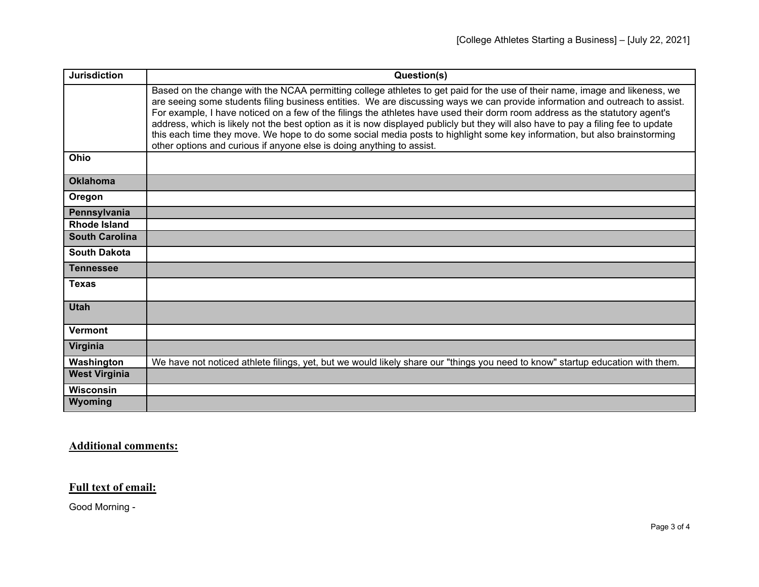| <b>Jurisdiction</b>   | Question(s)                                                                                                                                                                                                                                                                                                                                                                                                                                                                                                                                                                                                                                                                                                                            |
|-----------------------|----------------------------------------------------------------------------------------------------------------------------------------------------------------------------------------------------------------------------------------------------------------------------------------------------------------------------------------------------------------------------------------------------------------------------------------------------------------------------------------------------------------------------------------------------------------------------------------------------------------------------------------------------------------------------------------------------------------------------------------|
|                       | Based on the change with the NCAA permitting college athletes to get paid for the use of their name, image and likeness, we<br>are seeing some students filing business entities. We are discussing ways we can provide information and outreach to assist.<br>For example, I have noticed on a few of the filings the athletes have used their dorm room address as the statutory agent's<br>address, which is likely not the best option as it is now displayed publicly but they will also have to pay a filing fee to update<br>this each time they move. We hope to do some social media posts to highlight some key information, but also brainstorming<br>other options and curious if anyone else is doing anything to assist. |
| Ohio                  |                                                                                                                                                                                                                                                                                                                                                                                                                                                                                                                                                                                                                                                                                                                                        |
| <b>Oklahoma</b>       |                                                                                                                                                                                                                                                                                                                                                                                                                                                                                                                                                                                                                                                                                                                                        |
| Oregon                |                                                                                                                                                                                                                                                                                                                                                                                                                                                                                                                                                                                                                                                                                                                                        |
| Pennsylvania          |                                                                                                                                                                                                                                                                                                                                                                                                                                                                                                                                                                                                                                                                                                                                        |
| <b>Rhode Island</b>   |                                                                                                                                                                                                                                                                                                                                                                                                                                                                                                                                                                                                                                                                                                                                        |
| <b>South Carolina</b> |                                                                                                                                                                                                                                                                                                                                                                                                                                                                                                                                                                                                                                                                                                                                        |
| <b>South Dakota</b>   |                                                                                                                                                                                                                                                                                                                                                                                                                                                                                                                                                                                                                                                                                                                                        |
| <b>Tennessee</b>      |                                                                                                                                                                                                                                                                                                                                                                                                                                                                                                                                                                                                                                                                                                                                        |
| <b>Texas</b>          |                                                                                                                                                                                                                                                                                                                                                                                                                                                                                                                                                                                                                                                                                                                                        |
| <b>Utah</b>           |                                                                                                                                                                                                                                                                                                                                                                                                                                                                                                                                                                                                                                                                                                                                        |
| <b>Vermont</b>        |                                                                                                                                                                                                                                                                                                                                                                                                                                                                                                                                                                                                                                                                                                                                        |
| Virginia              |                                                                                                                                                                                                                                                                                                                                                                                                                                                                                                                                                                                                                                                                                                                                        |
| Washington            | We have not noticed athlete filings, yet, but we would likely share our "things you need to know" startup education with them.                                                                                                                                                                                                                                                                                                                                                                                                                                                                                                                                                                                                         |
| <b>West Virginia</b>  |                                                                                                                                                                                                                                                                                                                                                                                                                                                                                                                                                                                                                                                                                                                                        |
| <b>Wisconsin</b>      |                                                                                                                                                                                                                                                                                                                                                                                                                                                                                                                                                                                                                                                                                                                                        |
| Wyoming               |                                                                                                                                                                                                                                                                                                                                                                                                                                                                                                                                                                                                                                                                                                                                        |

## **Additional comments:**

## **Full text of email:**

Good Morning -